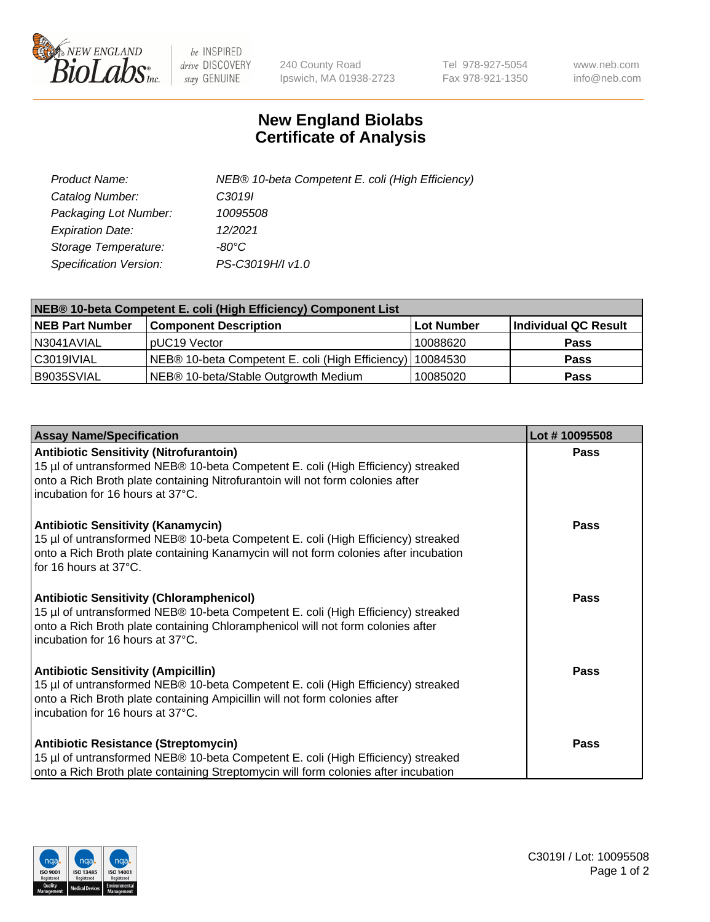

 $be$  INSPIRED drive DISCOVERY stay GENUINE

240 County Road Ipswich, MA 01938-2723 Tel 978-927-5054 Fax 978-921-1350 www.neb.com info@neb.com

## **New England Biolabs Certificate of Analysis**

| Product Name:           | NEB® 10-beta Competent E. coli (High Efficiency) |
|-------------------------|--------------------------------------------------|
| Catalog Number:         | C3019I                                           |
| Packaging Lot Number:   | 10095508                                         |
| <b>Expiration Date:</b> | 12/2021                                          |
| Storage Temperature:    | -80°C                                            |
| Specification Version:  | PS-C3019H/I v1.0                                 |

| NEB® 10-beta Competent E. coli (High Efficiency) Component List |                                                             |            |                      |  |
|-----------------------------------------------------------------|-------------------------------------------------------------|------------|----------------------|--|
| <b>NEB Part Number</b>                                          | <b>Component Description</b>                                | Lot Number | Individual QC Result |  |
| N3041AVIAL                                                      | pUC19 Vector                                                | 10088620   | <b>Pass</b>          |  |
| C3019IVIAL                                                      | NEB® 10-beta Competent E. coli (High Efficiency)   10084530 |            | <b>Pass</b>          |  |
| B9035SVIAL                                                      | NEB <sup>®</sup> 10-beta/Stable Outgrowth Medium            | 10085020   | <b>Pass</b>          |  |

| <b>Assay Name/Specification</b>                                                                                                                                                                                                                            | Lot #10095508 |
|------------------------------------------------------------------------------------------------------------------------------------------------------------------------------------------------------------------------------------------------------------|---------------|
| <b>Antibiotic Sensitivity (Nitrofurantoin)</b><br>15 µl of untransformed NEB® 10-beta Competent E. coli (High Efficiency) streaked<br>onto a Rich Broth plate containing Nitrofurantoin will not form colonies after<br>incubation for 16 hours at 37°C.   | Pass          |
| <b>Antibiotic Sensitivity (Kanamycin)</b><br>15 µl of untransformed NEB® 10-beta Competent E. coli (High Efficiency) streaked<br>onto a Rich Broth plate containing Kanamycin will not form colonies after incubation<br>for 16 hours at 37°C.             | Pass          |
| <b>Antibiotic Sensitivity (Chloramphenicol)</b><br>15 µl of untransformed NEB® 10-beta Competent E. coli (High Efficiency) streaked<br>onto a Rich Broth plate containing Chloramphenicol will not form colonies after<br>incubation for 16 hours at 37°C. | <b>Pass</b>   |
| <b>Antibiotic Sensitivity (Ampicillin)</b><br>15 µl of untransformed NEB® 10-beta Competent E. coli (High Efficiency) streaked<br>onto a Rich Broth plate containing Ampicillin will not form colonies after<br>incubation for 16 hours at 37°C.           | <b>Pass</b>   |
| <b>Antibiotic Resistance (Streptomycin)</b><br>15 µl of untransformed NEB® 10-beta Competent E. coli (High Efficiency) streaked<br>onto a Rich Broth plate containing Streptomycin will form colonies after incubation                                     | Pass          |